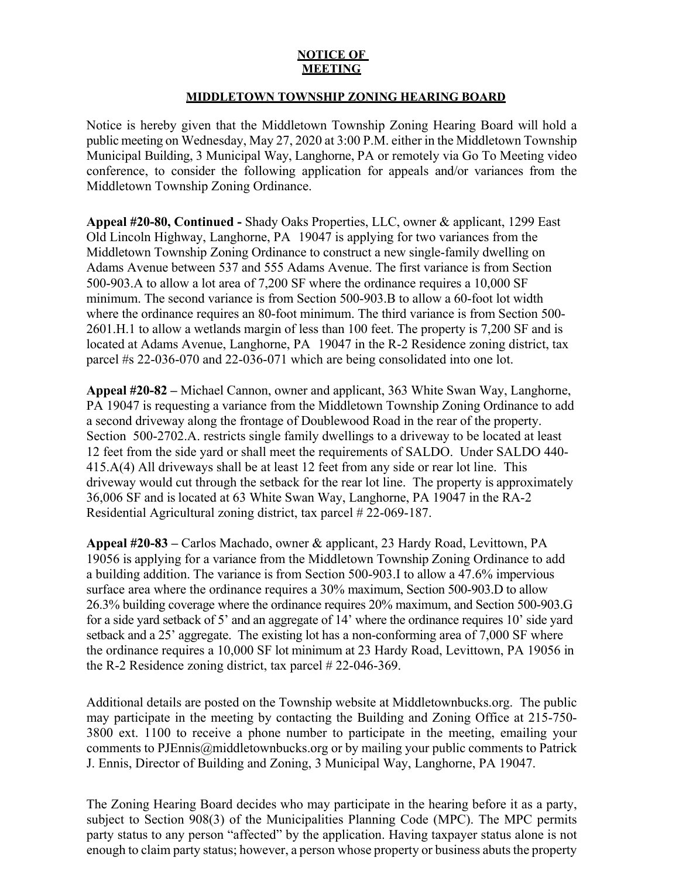## **NOTICE OF MEETING**

## **MIDDLETOWN TOWNSHIP ZONING HEARING BOARD**

Notice is hereby given that the Middletown Township Zoning Hearing Board will hold a public meeting on Wednesday, May 27, 2020 at 3:00 P.M. either in the Middletown Township Municipal Building, 3 Municipal Way, Langhorne, PA or remotely via Go To Meeting video conference, to consider the following application for appeals and/or variances from the Middletown Township Zoning Ordinance.

**Appeal #20-80, Continued -** Shady Oaks Properties, LLC, owner & applicant, 1299 East Old Lincoln Highway, Langhorne, PA 19047 is applying for two variances from the Middletown Township Zoning Ordinance to construct a new single-family dwelling on Adams Avenue between 537 and 555 Adams Avenue. The first variance is from Section 500-903.A to allow a lot area of 7,200 SF where the ordinance requires a 10,000 SF minimum. The second variance is from Section 500-903.B to allow a 60-foot lot width where the ordinance requires an 80-foot minimum. The third variance is from Section 500- 2601.H.1 to allow a wetlands margin of less than 100 feet. The property is 7,200 SF and is located at Adams Avenue, Langhorne, PA 19047 in the R-2 Residence zoning district, tax parcel #s 22-036-070 and 22-036-071 which are being consolidated into one lot.

**Appeal #20-82 –** Michael Cannon, owner and applicant, 363 White Swan Way, Langhorne, PA 19047 is requesting a variance from the Middletown Township Zoning Ordinance to add a second driveway along the frontage of Doublewood Road in the rear of the property. Section 500-2702.A. restricts single family dwellings to a driveway to be located at least 12 feet from the side yard or shall meet the requirements of SALDO. Under SALDO 440- 415.A(4) All driveways shall be at least 12 feet from any side or rear lot line. This driveway would cut through the setback for the rear lot line. The property is approximately 36,006 SF and is located at 63 White Swan Way, Langhorne, PA 19047 in the RA-2 Residential Agricultural zoning district, tax parcel # 22-069-187.

**Appeal #20-83 –** Carlos Machado, owner & applicant, 23 Hardy Road, Levittown, PA 19056 is applying for a variance from the Middletown Township Zoning Ordinance to add a building addition. The variance is from Section 500-903.I to allow a 47.6% impervious surface area where the ordinance requires a 30% maximum, Section 500-903.D to allow 26.3% building coverage where the ordinance requires 20% maximum, and Section 500-903.G for a side yard setback of 5' and an aggregate of 14' where the ordinance requires 10' side yard setback and a 25' aggregate. The existing lot has a non-conforming area of 7,000 SF where the ordinance requires a 10,000 SF lot minimum at 23 Hardy Road, Levittown, PA 19056 in the R-2 Residence zoning district, tax parcel # 22-046-369.

Additional details are posted on the Township website at Middletownbucks.org. The public may participate in the meeting by contacting the Building and Zoning Office at 215-750- 3800 ext. 1100 to receive a phone number to participate in the meeting, emailing your comments to PJEnnis@middletownbucks.org or by mailing your public comments to Patrick J. Ennis, Director of Building and Zoning, 3 Municipal Way, Langhorne, PA 19047.

The Zoning Hearing Board decides who may participate in the hearing before it as a party, subject to Section 908(3) of the Municipalities Planning Code (MPC). The MPC permits party status to any person "affected" by the application. Having taxpayer status alone is not enough to claim party status; however, a person whose property or business abuts the property